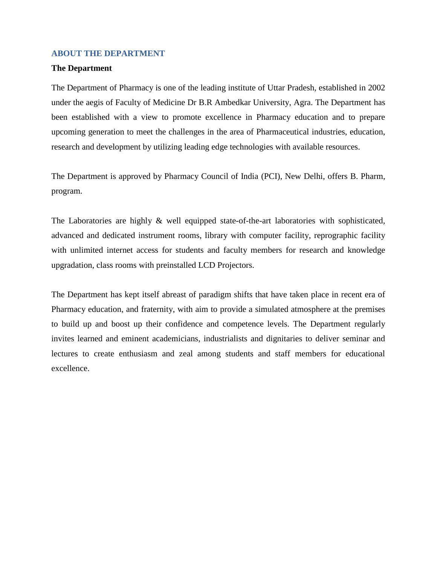### **ABOUT THE DEPARTMENT**

#### **The Department**

The Department of Pharmacy is one of the leading institute of Uttar Pradesh, established in 2002 under the aegis of Faculty of Medicine Dr B.R Ambedkar University, Agra. The Department has been established with a view to promote excellence in Pharmacy education and to prepare upcoming generation to meet the challenges in the area of Pharmaceutical industries, education, research and development by utilizing leading edge technologies with available resources.

The Department is approved by Pharmacy Council of India (PCI), New Delhi, offers B. Pharm, program.

The Laboratories are highly & well equipped state-of-the-art laboratories with sophisticated, advanced and dedicated instrument rooms, library with computer facility, reprographic facility with unlimited internet access for students and faculty members for research and knowledge upgradation, class rooms with preinstalled LCD Projectors.

The Department has kept itself abreast of paradigm shifts that have taken place in recent era of Pharmacy education, and fraternity, with aim to provide a simulated atmosphere at the premises to build up and boost up their confidence and competence levels. The Department regularly invites learned and eminent academicians, industrialists and dignitaries to deliver seminar and lectures to create enthusiasm and zeal among students and staff members for educational excellence.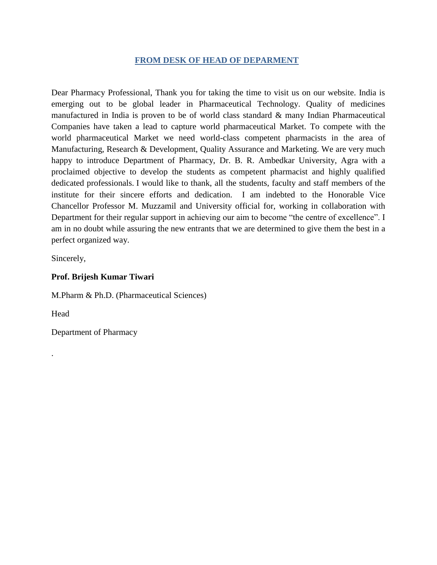## **FROM DESK OF HEAD OF DEPARMENT**

Dear Pharmacy Professional, Thank you for taking the time to visit us on our website. India is emerging out to be global leader in Pharmaceutical Technology. Quality of medicines manufactured in India is proven to be of world class standard & many Indian Pharmaceutical Companies have taken a lead to capture world pharmaceutical Market. To compete with the world pharmaceutical Market we need world-class competent pharmacists in the area of Manufacturing, Research & Development, Quality Assurance and Marketing. We are very much happy to introduce Department of Pharmacy, Dr. B. R. Ambedkar University, Agra with a proclaimed objective to develop the students as competent pharmacist and highly qualified dedicated professionals. I would like to thank, all the students, faculty and staff members of the institute for their sincere efforts and dedication. I am indebted to the Honorable Vice Chancellor Professor M. Muzzamil and University official for, working in collaboration with Department for their regular support in achieving our aim to become "the centre of excellence". I am in no doubt while assuring the new entrants that we are determined to give them the best in a perfect organized way.

Sincerely,

## **Prof. Brijesh Kumar Tiwari**

M.Pharm & Ph.D. (Pharmaceutical Sciences)

Head

.

Department of Pharmacy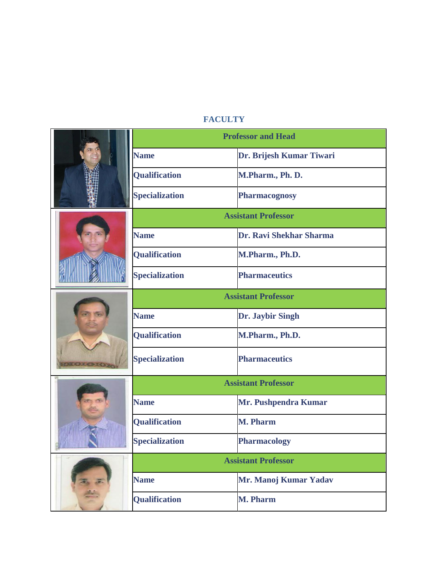# **FACULTY**

|  | <b>Professor and Head</b>  |                          |  |
|--|----------------------------|--------------------------|--|
|  | <b>Name</b>                | Dr. Brijesh Kumar Tiwari |  |
|  | Qualification              | M.Pharm., Ph. D.         |  |
|  | <b>Specialization</b>      | Pharmacognosy            |  |
|  | <b>Assistant Professor</b> |                          |  |
|  | <b>Name</b>                | Dr. Ravi Shekhar Sharma  |  |
|  | Qualification              | M.Pharm., Ph.D.          |  |
|  | <b>Specialization</b>      | <b>Pharmaceutics</b>     |  |
|  | <b>Assistant Professor</b> |                          |  |
|  | <b>Name</b>                | Dr. Jaybir Singh         |  |
|  | <b>Qualification</b>       | M.Pharm., Ph.D.          |  |
|  | <b>Specialization</b>      | <b>Pharmaceutics</b>     |  |
|  | <b>Assistant Professor</b> |                          |  |
|  | <b>Name</b>                | Mr. Pushpendra Kumar     |  |
|  | Qualification              | <b>M. Pharm</b>          |  |
|  | <b>Specialization</b>      | <b>Pharmacology</b>      |  |
|  | <b>Assistant Professor</b> |                          |  |
|  | <b>Name</b>                | Mr. Manoj Kumar Yadav    |  |
|  | Qualification              | <b>M. Pharm</b>          |  |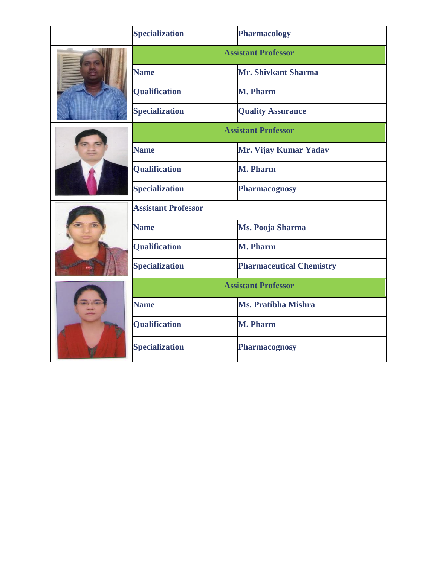|  | <b>Specialization</b>      | Pharmacology                    |  |
|--|----------------------------|---------------------------------|--|
|  | <b>Assistant Professor</b> |                                 |  |
|  | <b>Name</b>                | Mr. Shivkant Sharma             |  |
|  | <b>Qualification</b>       | <b>M. Pharm</b>                 |  |
|  | <b>Specialization</b>      | <b>Quality Assurance</b>        |  |
|  | <b>Assistant Professor</b> |                                 |  |
|  | <b>Name</b>                | Mr. Vijay Kumar Yadav           |  |
|  | <b>Qualification</b>       | <b>M. Pharm</b>                 |  |
|  | <b>Specialization</b>      | Pharmacognosy                   |  |
|  | <b>Assistant Professor</b> |                                 |  |
|  | <b>Name</b>                | Ms. Pooja Sharma                |  |
|  | <b>Qualification</b>       | <b>M. Pharm</b>                 |  |
|  | <b>Specialization</b>      | <b>Pharmaceutical Chemistry</b> |  |
|  | <b>Assistant Professor</b> |                                 |  |
|  | <b>Name</b>                | <b>Ms. Pratibha Mishra</b>      |  |
|  | <b>Qualification</b>       | <b>M. Pharm</b>                 |  |
|  | <b>Specialization</b>      | <b>Pharmacognosy</b>            |  |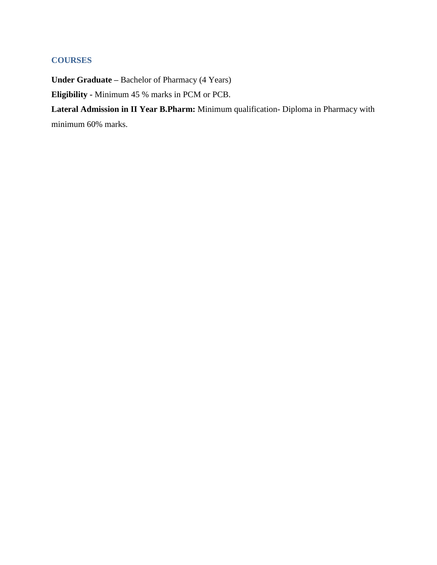# **COURSES**

**Under Graduate –** Bachelor of Pharmacy (4 Years) **Eligibility -** Minimum 45 % marks in PCM or PCB.

**Lateral Admission in II Year B.Pharm:** Minimum qualification- Diploma in Pharmacy with minimum 60% marks.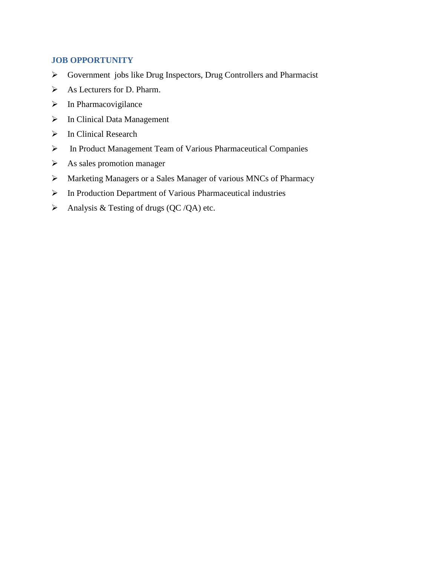## **JOB OPPORTUNITY**

- $\triangleright$  Government jobs like Drug Inspectors, Drug Controllers and Pharmacist
- $\triangleright$  As Lecturers for D. Pharm.
- $\triangleright$  In Pharmacovigilance
- > In Clinical Data Management
- $\triangleright$  In Clinical Research
- In Product Management Team of Various Pharmaceutical Companies
- $\triangleright$  As sales promotion manager
- Marketing Managers or a Sales Manager of various MNCs of Pharmacy
- In Production Department of Various Pharmaceutical industries
- Analysis & Testing of drugs  $(QC/QA)$  etc.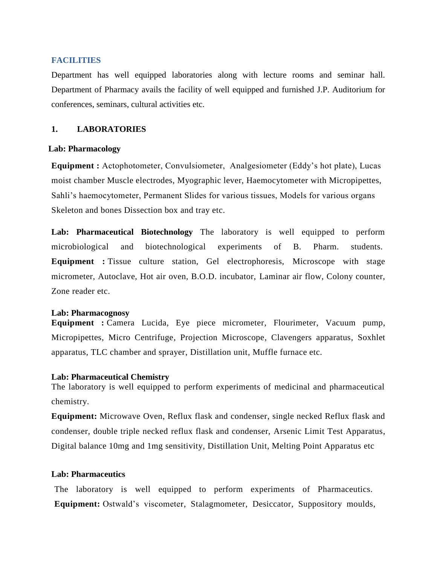#### **FACILITIES**

Department has well equipped laboratories along with lecture rooms and seminar hall. Department of Pharmacy avails the facility of well equipped and furnished J.P. Auditorium for conferences, seminars, cultural activities etc.

### **1. LABORATORIES**

#### **Lab: Pharmacology**

**Equipment :** Actophotometer, Convulsiometer, Analgesiometer (Eddy's hot plate), Lucas moist chamber Muscle electrodes, Myographic lever, Haemocytometer with Micropipettes, Sahli's haemocytometer, Permanent Slides for various tissues, Models for various organs Skeleton and bones Dissection box and tray etc.

**Lab: Pharmaceutical Biotechnology** The laboratory is well equipped to perform microbiological and biotechnological experiments of B. Pharm. students. **Equipment :** Tissue culture station, Gel electrophoresis, Microscope with stage micrometer, Autoclave, Hot air oven, B.O.D. incubator, Laminar air flow, Colony counter, Zone reader etc.

#### **Lab: Pharmacognosy**

**Equipment :** Camera Lucida, Eye piece micrometer, Flourimeter, Vacuum pump, Micropipettes, Micro Centrifuge, Projection Microscope, Clavengers apparatus, Soxhlet apparatus, TLC chamber and sprayer, Distillation unit, Muffle furnace etc.

#### **Lab: Pharmaceutical Chemistry**

The laboratory is well equipped to perform experiments of medicinal and pharmaceutical chemistry.

**Equipment:** Microwave Oven, Reflux flask and condenser, single necked Reflux flask and condenser, double triple necked reflux flask and condenser, Arsenic Limit Test Apparatus, Digital balance 10mg and 1mg sensitivity, Distillation Unit, Melting Point Apparatus etc

### **Lab: Pharmaceutics**

The laboratory is well equipped to perform experiments of Pharmaceutics. **Equipment:** Ostwald's viscometer, Stalagmometer, Desiccator, Suppository moulds,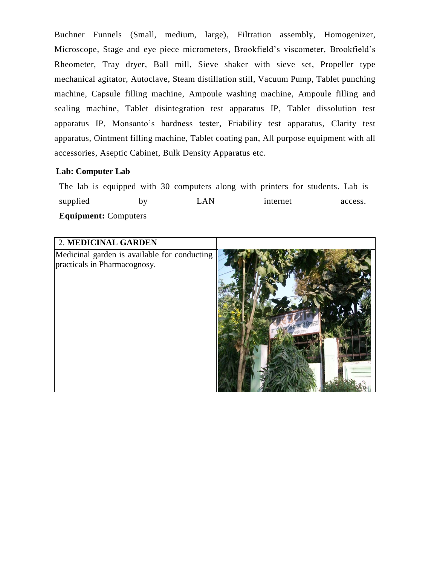Buchner Funnels (Small, medium, large), Filtration assembly, Homogenizer, Microscope, Stage and eye piece micrometers, Brookfield's viscometer, Brookfield's Rheometer, Tray dryer, Ball mill, Sieve shaker with sieve set, Propeller type mechanical agitator, Autoclave, Steam distillation still, Vacuum Pump, Tablet punching machine, Capsule filling machine, Ampoule washing machine, Ampoule filling and sealing machine, Tablet disintegration test apparatus IP, Tablet dissolution test apparatus IP, Monsanto's hardness tester, Friability test apparatus, Clarity test apparatus, Ointment filling machine, Tablet coating pan, All purpose equipment with all accessories, Aseptic Cabinet, Bulk Density Apparatus etc.

### **Lab: Computer Lab**

The lab is equipped with 30 computers along with printers for students. Lab is supplied by LAN internet access. **Equipment:** Computers

| 2. MEDICINAL GARDEN                                                          |  |
|------------------------------------------------------------------------------|--|
| Medicinal garden is available for conducting<br>practicals in Pharmacognosy. |  |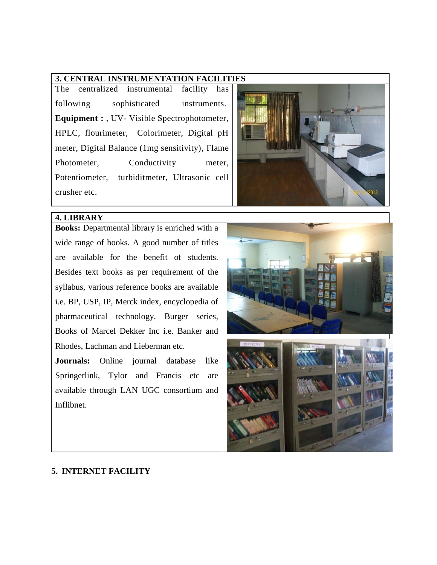## **3. CENTRAL INSTRUMENTATION FACILITIES**

The centralized instrumental facility has following sophisticated instruments. **Equipment :** , UV- Visible Spectrophotometer, HPLC, flourimeter, Colorimeter, Digital pH meter, Digital Balance (1mg sensitivity), Flame Photometer, Conductivity meter, Potentiometer, turbiditmeter, Ultrasonic cell crusher etc.



## **4. LIBRARY**

**Books:** Departmental library is enriched with a wide range of books. A good number of titles are available for the benefit of students. Besides text books as per requirement of the syllabus, various reference books are available i.e. BP, USP, IP, Merck index, encyclopedia of pharmaceutical technology, Burger series, Books of Marcel Dekker Inc i.e. Banker and Rhodes, Lachman and Lieberman etc.

**Journals:** Online journal database like Springerlink, Tylor and Francis etc are available through LAN UGC consortium and Inflibnet.



## **5. INTERNET FACILITY**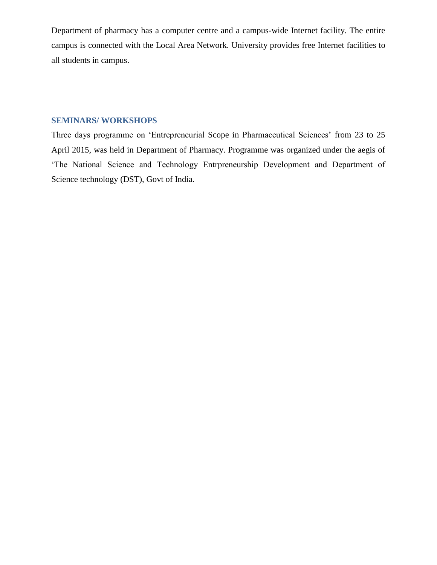Department of pharmacy has a computer centre and a campus-wide Internet facility. The entire campus is connected with the Local Area Network. University provides free Internet facilities to all students in campus.

## **SEMINARS/ WORKSHOPS**

Three days programme on 'Entrepreneurial Scope in Pharmaceutical Sciences' from 23 to 25 April 2015, was held in Department of Pharmacy. Programme was organized under the aegis of 'The National Science and Technology Entrpreneurship Development and Department of Science technology (DST), Govt of India.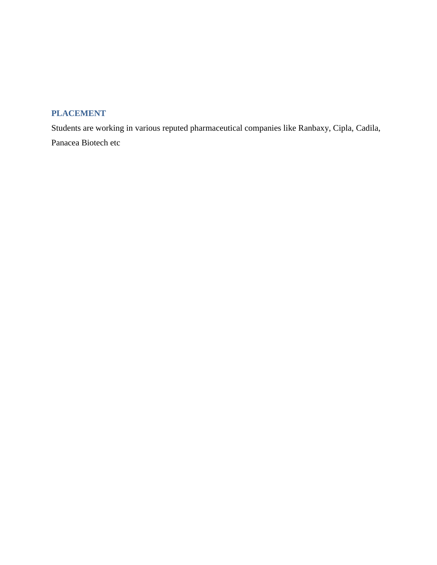# **PLACEMENT**

Students are working in various reputed pharmaceutical companies like Ranbaxy, Cipla, Cadila, Panacea Biotech etc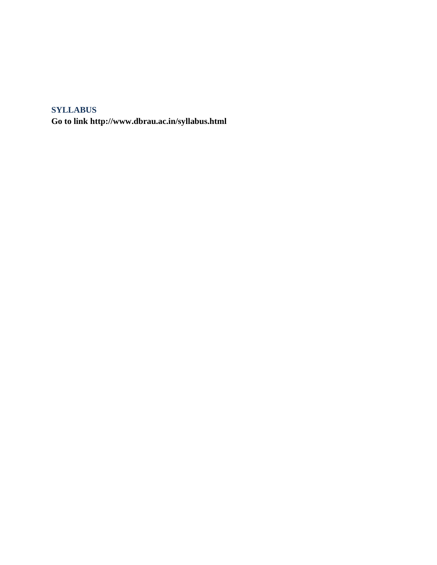# **SYLLABUS**

**Go to link http://www.dbrau.ac.in/syllabus.html**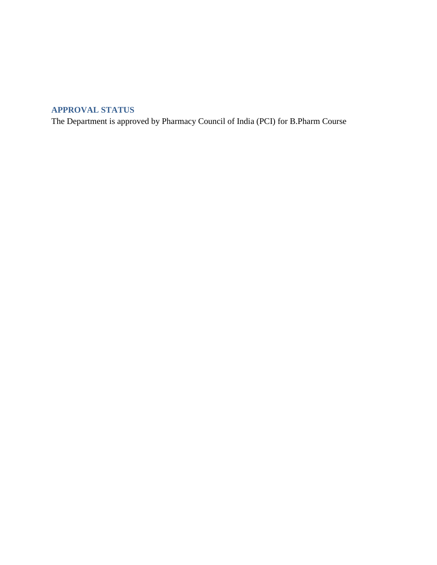# **APPROVAL STATUS**

The Department is approved by Pharmacy Council of India (PCI) for B.Pharm Course